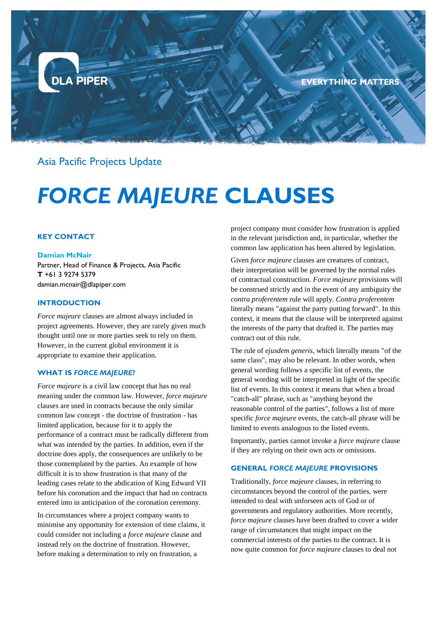

Asia Pacific Projects Update

# *FORCE MAJEURE* **CLAUSES**

# **KEY CONTACT**

#### **Damian McNair**

Partner, Head of Finance & Projects, Asia Pacific **T** +61 3 9274 5379 [damian.mcnair@dlapiper.com](mailto:damian.mcnair@dlapiper.com)

# **INTRODUCTION**

*Force majeure* clauses are almost always included in project agreements. However, they are rarely given much thought until one or more parties seek to rely on them. However, in the current global environment it is appropriate to examine their application.

# **WHAT IS** *FORCE MAJEURE***?**

*Force majeure* is a civil law concept that has no real meaning under the common law. However, *force majeure* clauses are used in contracts because the only similar common law concept - the doctrine of frustration - has limited application, because for it to apply the performance of a contract must be radically different from what was intended by the parties. In addition, even if the doctrine does apply, the consequences are unlikely to be those contemplated by the parties. An example of how difficult it is to show frustration is that many of the leading cases relate to the abdication of King Edward VII before his coronation and the impact that had on contracts entered into in anticipation of the coronation ceremony.

In circumstances where a project company wants to minimise any opportunity for extension of time claims, it could consider not including a *force majeure* clause and instead rely on the doctrine of frustration. However, before making a determination to rely on frustration, a

project company must consider how frustration is applied in the relevant jurisdiction and, in particular, whether the common law application has been altered by legislation.

Given *force majeure* clauses are creatures of contract, their interpretation will be governed by the normal rules of contractual construction. *Force majeure* provisions will be construed strictly and in the event of any ambiguity the *contra proferentem* rule will apply. *Contra proferentem*  literally means "against the party putting forward". In this context, it means that the clause will be interpreted against the interests of the party that drafted it. The parties may contract out of this rule.

The rule of *ejusdem generis*, which literally means "of the same class", may also be relevant. In other words, when general wording follows a specific list of events, the general wording will be interpreted in light of the specific list of events. In this context it means that when a broad "catch-all" phrase, such as "anything beyond the reasonable control of the parties", follows a list of more specific *force majeure* events, the catch-all phrase will be limited to events analogous to the listed events.

Importantly, parties cannot invoke a *force majeure* clause if they are relying on their own acts or omissions.

#### **GENERAL** *FORCE MAJEURE* **PROVISIONS**

Traditionally, *force majeure* clauses, in referring to circumstances beyond the control of the parties, were intended to deal with unforseen acts of God or of governments and regulatory authorities. More recently, *force majeure* clauses have been drafted to cover a wider range of circumstances that might impact on the commercial interests of the parties to the contract. It is now quite common for *force majeure* clauses to deal not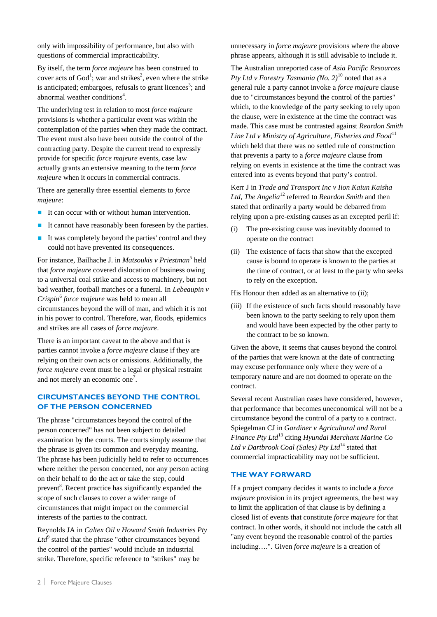only with impossibility of performance, but also with questions of commercial impracticability.

By itself, the term *force majeure* has been construed to cover acts of  $God^1$ ; war and strikes<sup>2</sup>, even where the strike is anticipated; embargoes, refusals to grant licences<sup>3</sup>; and abnormal weather conditions<sup>4</sup>.

The underlying test in relation to most *force majeure* provisions is whether a particular event was within the contemplation of the parties when they made the contract. The event must also have been outside the control of the contracting party. Despite the current trend to expressly provide for specific *force majeure* events, case law actually grants an extensive meaning to the term *force majeure* when it occurs in commercial contracts.

There are generally three essential elements to *force majeure*:

- It can occur with or without human intervention.
- It cannot have reasonably been foreseen by the parties.
- It was completely beyond the parties' control and they could not have prevented its consequences.

For instance, Bailhache J. in *Matsoukis v Priestman*<sup>5</sup> held that *force majeure* covered dislocation of business owing to a universal coal strike and access to machinery, but not bad weather, football matches or a funeral. In *Lebeaupin v Crispin*<sup>6</sup> *force majeure* was held to mean all circumstances beyond the will of man, and which it is not in his power to control. Therefore, war, floods, epidemics and strikes are all cases of *force majeure*.

There is an important caveat to the above and that is parties cannot invoke a *force majeure* clause if they are relying on their own acts or omissions. Additionally, the *force majeure* event must be a legal or physical restraint and not merely an economic one<sup>7</sup>.

# **CIRCUMSTANCES BEYOND THE CONTROL OF THE PERSON CONCERNED**

The phrase "circumstances beyond the control of the person concerned" has not been subject to detailed examination by the courts. The courts simply assume that the phrase is given its common and everyday meaning. The phrase has been judicially held to refer to occurrences where neither the person concerned, nor any person acting on their behalf to do the act or take the step, could prevent<sup>8</sup>. Recent practice has significantly expanded the scope of such clauses to cover a wider range of circumstances that might impact on the commercial interests of the parties to the contract.

Reynolds JA in *Caltex Oil v Howard Smith Industries Pty*   $Ltd^9$  stated that the phrase "other circumstances beyond the control of the parties" would include an industrial strike. Therefore, specific reference to "strikes" may be

unnecessary in *force majeure* provisions where the above phrase appears, although it is still advisable to include it.

The Australian unreported case of *Asia Pacific Resources Pty Ltd v Forestry Tasmania (No. 2)*<sup>10</sup> noted that as a general rule a party cannot invoke a *force majeure* clause due to "circumstances beyond the control of the parties" which, to the knowledge of the party seeking to rely upon the clause, were in existence at the time the contract was made. This case must be contrasted against *Reardon Smith* Line Ltd v Ministry of Agriculture, Fisheries and Food<sup>11</sup> which held that there was no settled rule of construction that prevents a party to a *force majeure* clause from relying on events in existence at the time the contract was entered into as events beyond that party's control.

Kerr J in *Trade and Transport Inc v Iion Kaiun Kaisha Ltd*, *The Angelia*<sup>12</sup> referred to *Reardon Smith* and then stated that ordinarily a party would be debarred from relying upon a pre-existing causes as an excepted peril if:

- (i) The pre-existing cause was inevitably doomed to operate on the contract
- (ii) The existence of facts that show that the excepted cause is bound to operate is known to the parties at the time of contract, or at least to the party who seeks to rely on the exception.

His Honour then added as an alternative to (ii);

(iii) If the existence of such facts should reasonably have been known to the party seeking to rely upon them and would have been expected by the other party to the contract to be so known.

Given the above, it seems that causes beyond the control of the parties that were known at the date of contracting may excuse performance only where they were of a temporary nature and are not doomed to operate on the contract.

Several recent Australian cases have considered, however, that performance that becomes uneconomical will not be a circumstance beyond the control of a party to a contract. Spiegelman CJ in *Gardiner v Agricultural and Rural Finance Pty Ltd*<sup>13</sup> citing *Hyundai Merchant Marine Co*  Ltd v Dartbrook Coal *(Sales)* Pty Ltd<sup>14</sup> stated that commercial impracticability may not be sufficient.

#### **THE WAY FORWARD**

If a project company decides it wants to include a *force majeure* provision in its project agreements, the best way to limit the application of that clause is by defining a closed list of events that constitute *force majeure* for that contract. In other words, it should not include the catch all "any event beyond the reasonable control of the parties including….". Given *force majeure* is a creation of